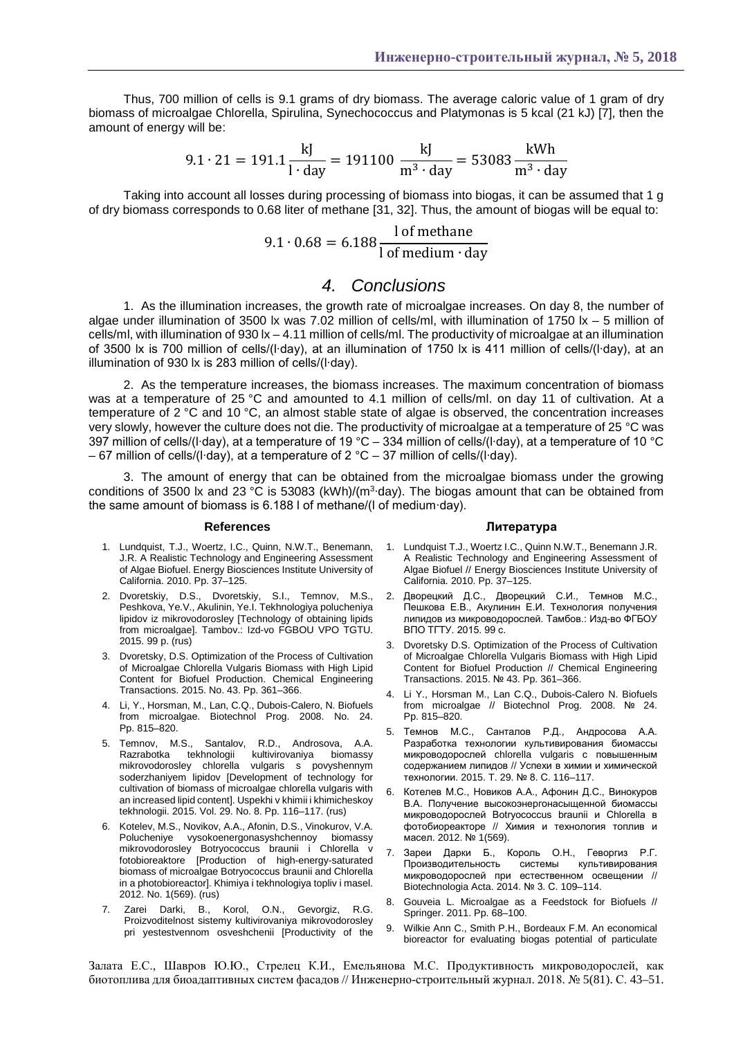Thus, 700 million of cells is 9.1 grams of dry biomass. The average caloric value of 1 gram of dry biomass of microalgae Chlorella, Spirulina, Synechococcus and Platymonas is 5 kcal (21 kJ) [7], then the amount of energy will be:

$$
9.1 \cdot 21 = 191.1 \frac{\text{kJ}}{1 \cdot \text{day}} = 191100 \frac{\text{kJ}}{\text{m}^3 \cdot \text{day}} = 53083 \frac{\text{kWh}}{\text{m}^3 \cdot \text{day}}
$$

Taking into account all losses during processing of biomass into biogas, it can be assumed that 1 g of dry biomass corresponds to 0.68 liter of methane [31, 32]. Thus, the amount of biogas will be equal to:

$$
9.1 \cdot 0.68 = 6.188 \frac{1 \text{ of methane}}{1 \text{ of medium} \cdot \text{day}}
$$

## *4. Conclusions*

1. As the illumination increases, the growth rate of microalgae increases. On day 8, the number of algae under illumination of 3500 lx was 7.02 million of cells/ml, with illumination of 1750 lx – 5 million of cells/ml, with illumination of 930  $x - 4.11$  million of cells/ml. The productivity of microalgae at an illumination of 3500 lx is 700 million of cells/(l∙day), at an illumination of 1750 lx is 411 million of cells/(l∙day), at an illumination of 930 lx is 283 million of cells/(l∙day).

2. As the temperature increases, the biomass increases. The maximum concentration of biomass was at a temperature of 25 °C and amounted to 4.1 million of cells/ml. on day 11 of cultivation. At a temperature of 2 °C and 10 °C, an almost stable state of algae is observed, the concentration increases very slowly, however the culture does not die. The productivity of microalgae at a temperature of 25 °C was 397 million of cells/(l∙day), at a temperature of 19 °C – 334 million of cells/(l∙day), at a temperature of 10 °C – 67 million of cells/(l∙day), at a temperature of 2 °C – 37 million of cells/(l∙day).

3. The amount of energy that can be obtained from the microalgae biomass under the growing conditions of 3500 lx and 23 °C is 53083 (kWh)/(m3∙day). The biogas amount that can be obtained from the same amount of biomass is 6.188 l of methane/(l of medium∙day).

## **References**

## 1. Lundquist, T.J., Woertz, I.C., Quinn, N.W.T., Benemann, J.R. A Realistic Technology and Engineering Assessment of Algae Biofuel. Energy Biosciences Institute University of California. 2010. Pp. 37–125.

- 2. Dvoretskiy, D.S., Dvoretskiy, S.I., Temnov, M.S., Peshkova, Ye.V., Akulinin, Ye.I. Tekhnologiya polucheniya lipidov iz mikrovodorosley [Technology of obtaining lipids from microalgae]. Tambov.: Izd-vo FGBOU VPO TGTU. 2015. 99 p. (rus)
- 3. Dvoretsky, D.S. Optimization of the Process of Cultivation of Microalgae Chlorella Vulgaris Biomass with High Lipid Content for Biofuel Production. Chemical Engineering Transactions. 2015. No. 43. Pp. 361–366.
- 4. Li, Y., Horsman, M., Lan, C.Q., Dubois-Calero, N. Biofuels from microalgae. Biotechnol Prog. 2008. No. 24. Pp. 815–820.
- 5. Temnov, M.S., Santalov, R.D., Androsova, A.A. kultivirovaniya mikrovodorosley chlorella vulgaris s povyshennym soderzhaniyem lipidov [Development of technology for cultivation of biomass of microalgae chlorella vulgaris with an increased lipid content]. Uspekhi v khimii i khimicheskoy tekhnologii. 2015. Vol. 29. No. 8. Pp. 116–117. (rus)
- 6. Kotelev, M.S., Novikov, A.A., Afonin, D.S., Vinokurov, V.A. Polucheniye vysokoenergonasyshchennoy biomassy mikrovodorosley Botryococcus braunii i Chlorella v fotobioreaktore [Production of high-energy-saturated biomass of microalgae Botryococcus braunii and Chlorella in a photobioreactor]. Khimiya i tekhnologiya topliv i masel. 2012. No. 1(569). (rus)
- 7. Zarei Darki, B., Korol, O.N., Gevorgiz, R.G. Proizvoditelnost sistemy kultivirovaniya mikrovodorosley pri yestestvennom osveshchenii [Productivity of the

## **Литература**

- 1. Lundquist T.J., Woertz I.C., Quinn N.W.T., Benemann J.R. A Realistic Technology and Engineering Assessment of Algae Biofuel // Energy Biosciences Institute University of California. 2010. Pp. 37–125.
- 2. Дворецкий Д.С., Дворецкий С.И., Темнов М.С., Пешкова Е.В., Акулинин Е.И. Технология получения липидов из микроводорослей. Тамбов.: Изд-во ФГБОУ ВПО ТГТУ. 2015. 99 с.
- 3. Dvoretsky D.S. Optimization of the Process of Cultivation of Microalgae Chlorella Vulgaris Biomass with High Lipid Content for Biofuel Production // Chemical Engineering Transactions. 2015. № 43. Pp. 361–366.
- 4. Li Y., Horsman M., Lan C.Q., Dubois-Calero N. Biofuels from microalgae // Biotechnol Prog. 2008. № 24. Pp. 815–820.
- 5. Темнов М.С., Санталов Р.Д., Андросова А.А. Разработка технологии культивирования биомассы микроводорослей chlorella vulgaris с повышенным содержанием липидов // Успехи в химии и химической технологии. 2015. T. 29. № 8. С. 116–117.
- 6. Котелев М.С., Новиков А.А., Афонин Д.С., Винокуров В.А. Получение высокоэнергонасыщенной биомассы микроводорослей Botryococcus braunii и Chlorella в фотобиореакторе // Химия и технология топлив и масел. 2012. № 1(569).
- 7. Зареи Дарки Б., Король О.Н., Геворгиз Р.Г. Производительность системы культивирования микроводорослей при естественном освещении // Biotechnologia Acta. 2014. № 3. C. 109–114.
- 8. Gouveia L. Microalgae as a Feedstock for Biofuels // Springer. 2011. Pp. 68–100.
- 9. Wilkie Ann C., Smith P.H., Bordeaux F.M. An economical bioreactor for evaluating biogas potential of particulate

Залата Е.С., Шавров Ю.Ю., Стрелец К.И., Емельянова М.С. Продуктивность микроводорослей, как биотоплива для биоадаптивных систем фасадов // Инженерно-строительный журнал. 2018. № 5(81). С. 43–51.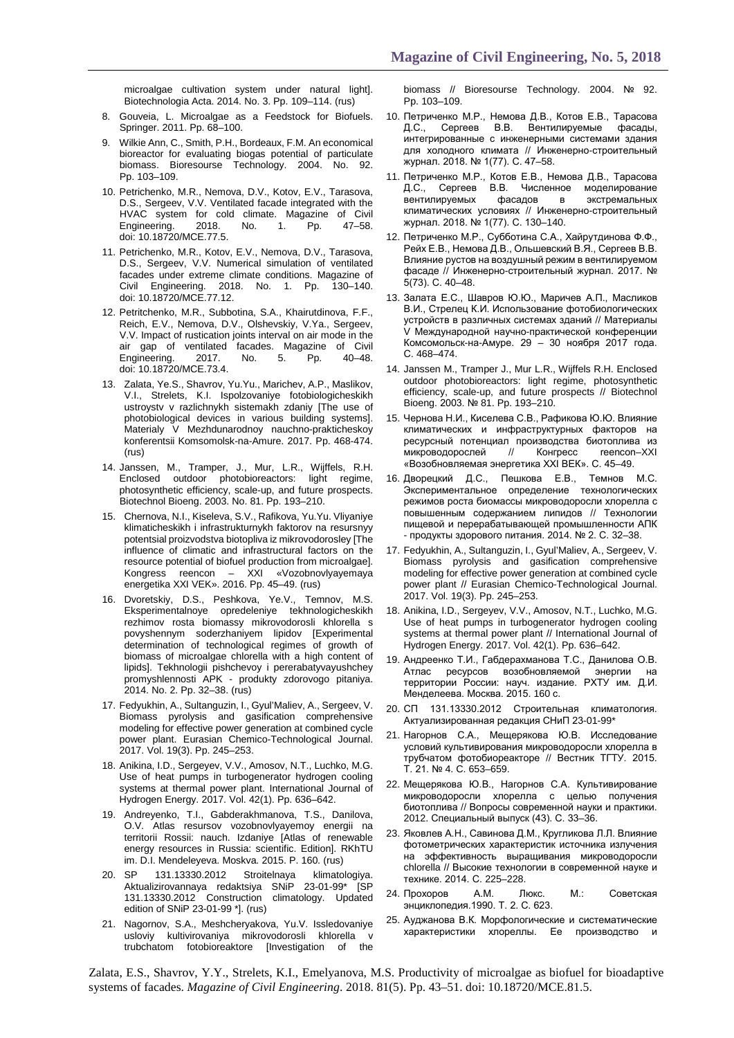microalgae cultivation system under natural light]. Biotechnologia Acta. 2014. No. 3. Pp. 109–114. (rus)

- 8. Gouveia, L. Microalgae as a Feedstock for Biofuels. Springer. 2011. Pp. 68–100.
- 9. Wilkie Ann, C., Smith, P.H., Bordeaux, F.M. An economical bioreactor for evaluating biogas potential of particulate biomass. Bioresourse Technology. 2004. No. 92. Pp. 103–109.
- 10. Petrichenko, M.R., Nemova, D.V., Kotov, E.V., Tarasova, D.S., Sergeev, V.V. Ventilated facade integrated with the HVAC system for cold climate. Magazine of Civil Fngineering. 2018. No. doi: 10.18720/MCE.77.5.
- 11. Petrichenko, M.R., Kotov, E.V., Nemova, D.V., Tarasova, D.S., Sergeev, V.V. Numerical simulation of ventilated facades under extreme climate conditions. Magazine of Civil Engineering. 2018. No. 1. Pp. 130–140. doi: 10.18720/MCE.77.12.
- 12. Petritchenko, M.R., Subbotina, S.A., Khairutdinova, F.F., Reich, E.V., Nemova, D.V., Olshevskiy, V.Ya., Sergeev, V.V. Impact of rustication joints interval on air mode in the air gap of ventilated facades. Magazine of Civil Engineering. 2017. No. 5. Pp. doi: 10.18720/MCE.73.4.
- 13. Zalata, Ye.S., Shavrov, Yu.Yu., Marichev, A.P., Maslikov, V.I., Strelets, K.I. Ispolzovaniye fotobiologicheskikh ustroystv v razlichnykh sistemakh zdaniy [The use of photobiological devices in various building systems]. Materialy V Mezhdunarodnoy nauchno-prakticheskoy konferentsii Komsomolsk-na-Amure. 2017. Pp. 468-474. (rus)
- 14. Janssen, M., Tramper, J., Mur, L.R., Wijffels, R.H. Enclosed outdoor photobioreactors: light regime, photosynthetic efficiency, scale-up, and future prospects. Biotechnol Bioeng. 2003. No. 81. Pp. 193–210.
- 15. Chernova, N.I., Kiseleva, S.V., Rafikova, Yu.Yu. Vliyaniye klimaticheskikh i infrastrukturnykh faktorov na resursnyy potentsial proizvodstva biotopliva iz mikrovodorosley [The influence of climatic and infrastructural factors on the resource potential of biofuel production from microalgae].<br>Kongress reencon - XXI «Vozobnovlyayemaya XXI «Vozobnovlyayemaya energetika XXI VEK». 2016. Pp. 45–49. (rus)
- 16. Dvoretskiy, D.S., Peshkova, Ye.V., Temnov, M.S. Eksperimentalnoye opredeleniye tekhnologicheskikh rezhimov rosta biomassy mikrovodorosli khlorella s povyshennym soderzhaniyem lipidov [Experimental determination of technological regimes of growth of biomass of microalgae chlorella with a high content of lipids]. Tekhnologii pishchevoy i pererabatyvayushchey promyshlennosti APK - produkty zdorovogo pitaniya. 2014. No. 2. Pp. 32–38. (rus)
- 17. Fedyukhin, A., Sultanguzin, I., Gyul'Maliev, A., Sergeev, V. Biomass pyrolysis and gasification comprehensive modeling for effective power generation at combined cycle power plant. Eurasian Chemico-Technological Journal. 2017. Vol. 19(3). Pp. 245–253.
- 18. Anikina, I.D., Sergeyev, V.V., Amosov, N.T., Luchko, M.G. Use of heat pumps in turbogenerator hydrogen cooling systems at thermal power plant. International Journal of Hydrogen Energy. 2017. Vol. 42(1). Pp. 636–642.
- 19. Andreyenko, T.I., Gabderakhmanova, T.S., Danilova, O.V. Atlas resursov vozobnovlyayemoy energii na territorii Rossii: nauch. Izdaniye [Atlas of renewable energy resources in Russia: scientific. Edition]. RKhTU im. D.I. Mendeleyeva. Moskva. 2015. P. 160. (rus)
- 20. SP 131.13330.2012 Stroitelnaya klimatologiya. Aktualizirovannaya redaktsiya SNiP 23-01-99\* [SP 131.13330.2012 Construction climatology. Updated edition of SNiP 23-01-99 \*]. (rus)
- 21. Nagornov, S.A., Meshcheryakova, Yu.V. Issledovaniye usloviy kultivirovaniya mikrovodorosli khlorella trubchatom fotobioreaktore [Investigation of the

biomass // Bioresourse Technology. 2004. № 92. Pp. 103–109.

- 10. Петриченко М.Р., Немова Д.В., Котов Е.В., Тарасова Д.С., Сергеев В.В. Вентилируемые фасады, интегрированные с инженерными системами здания для холодного климата // Инженерно-строительный журнал. 2018. № 1(77). С. 47–58.
- 11. Петриченко М.Р., Котов Е.В., Немова Д.В., Тарасова Д.С., Сергеев В.В. Численное моделирование вентилируемых фасадов в экстремальных климатических условиях // Инженерно-строительный журнал. 2018. № 1(77). С. 130–140.
- 12. Петриченко М.Р., Субботина С.А., Хайрутдинова Ф.Ф., Рейх Е.В., Немова Д.В., Ольшевский В.Я., Сергеев В.В. Влияние рустов на воздушный режим в вентилируемом фасаде // Инженерно-строительный журнал. 2017. № 5(73). С. 40–48.
- 13. Залата Е.С., Шавров Ю.Ю., Маричев А.П., Масликов В.И., Стрелец К.И. Использование фотобиологических устройств в различных системах зданий // Материалы V Международной научно-практической конференции Комсомольск-на-Амуре. 29 – 30 ноября 2017 года. С. 468–474.
- 14. Janssen M., Tramper J., Mur L.R., Wijffels R.H. Enclosed outdoor photobioreactors: light regime, photosynthetic efficiency, scale-up, and future prospects // Biotechnol Bioeng. 2003. № 81. Pp. 193–210.
- 15. Чернова Н.И., Киселева С.В., Рафикова Ю.Ю. Влияние климатических и инфраструктурных факторов на ресурсный потенциал производства биотоплива из<br>микроводорослей // Конгресс reencon-XXI микроводорослей «Возобновляемая энергетика XXI ВЕК». C. 45–49.
- 16. Дворецкий Д.С., Пешкова Е.В., Темнов М.С. Экспериментальное определение технологических режимов роста биомассы микроводоросли хлорелла с повышенным содержанием липидов // Технологии пищевой и перерабатывающей промышленности АПК - продукты здорового питания. 2014. № 2. С. 32–38.
- 17. Fedyukhin, A., Sultanguzin, I., Gyul'Maliev, A., Sergeev, V. Biomass pyrolysis and gasification comprehensive modeling for effective power generation at combined cycle power plant // Eurasian Chemico-Technological Journal. 2017. Vol. 19(3). Pp. 245–253.
- 18. Anikina, I.D., Sergeyev, V.V., Amosov, N.T., Luchko, M.G. Use of heat pumps in turbogenerator hydrogen cooling systems at thermal power plant // International Journal of Hydrogen Energy. 2017. Vol. 42(1). Pp. 636–642.
- 19. Андреенко Т.И., Габдерахманова Т.С., Данилова О.В. Атлас ресурсов возобновляемой энергии на территории России: науч. издание. РХТУ им. Д.И. Менделеева. Москва. 2015. 160 с.
- 20. СП 131.13330.2012 Строительная климатология. Актуализированная редакция СНиП 23-01-99\*
- 21. Нагорнов С.А., Мещерякова Ю.В. Исследование условий культивирования микроводоросли хлорелла в трубчатом фотобиореакторе // Вестник ТГТУ. 2015. Т. 21. № 4. C. 653–659.
- 22. Мещерякова Ю.В., Нагорнов С.А. Культивирование микроводоросли хлорелла с целью получения биотоплива // Вопросы современной науки и практики. 2012. Специальный выпуск (43). С. 33–36.
- 23. Яковлев А.Н., Савинова Д.М., Кругликова Л.Л. Влияние фотометрических характеристик источника излучения на эффективность выращивания микроводоросли chlorella // Высокие технологии в современной науке и технике. 2014. С. 225–228.
- 24. Прохоров А.М. Люкс. M.: Советская энциклопедия.1990. Т. 2. С. 623.
- 25. Ауджанова В.К. Морфологические и систематические характеристики хлореллы. Ее производство и

Zalata, E.S., Shavrov, Y.Y., Strelets, K.I., Emelyanova, M.S. Productivity of microalgae as biofuel for bioadaptive systems of facades. *Magazine of Civil Engineering*. 2018. 81(5). Pp. 43–51. doi: 10.18720/MCE.81.5.